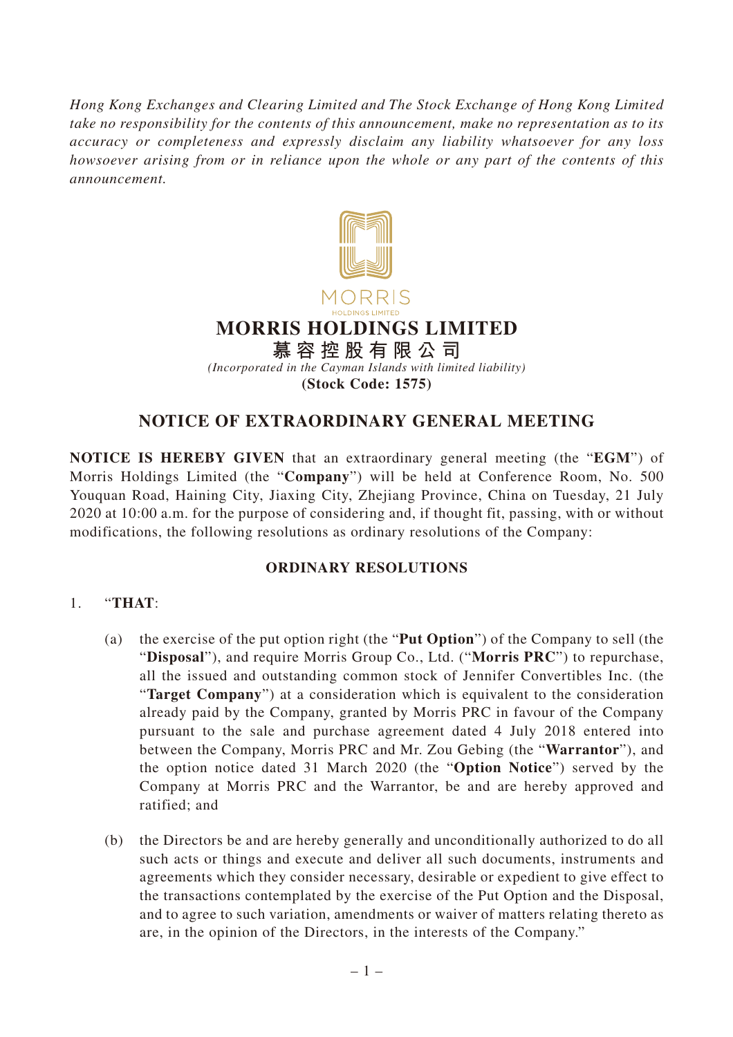*Hong Kong Exchanges and Clearing Limited and The Stock Exchange of Hong Kong Limited take no responsibility for the contents of this announcement, make no representation as to its accuracy or completeness and expressly disclaim any liability whatsoever for any loss howsoever arising from or in reliance upon the whole or any part of the contents of this announcement.*



# **NOTICE OF EXTRAORDINARY GENERAL MEETING**

**NOTICE IS HEREBY GIVEN** that an extraordinary general meeting (the "**EGM**") of Morris Holdings Limited (the "**Company**") will be held at Conference Room, No. 500 Youquan Road, Haining City, Jiaxing City, Zhejiang Province, China on Tuesday, 21 July 2020 at 10:00 a.m. for the purpose of considering and, if thought fit, passing, with or without modifications, the following resolutions as ordinary resolutions of the Company:

### **ORDINARY RESOLUTIONS**

### 1. "**THAT**:

- (a) the exercise of the put option right (the "**Put Option**") of the Company to sell (the "**Disposal**"), and require Morris Group Co., Ltd. ("**Morris PRC**") to repurchase, all the issued and outstanding common stock of Jennifer Convertibles Inc. (the "**Target Company**") at a consideration which is equivalent to the consideration already paid by the Company, granted by Morris PRC in favour of the Company pursuant to the sale and purchase agreement dated 4 July 2018 entered into between the Company, Morris PRC and Mr. Zou Gebing (the "**Warrantor**"), and the option notice dated 31 March 2020 (the "**Option Notice**") served by the Company at Morris PRC and the Warrantor, be and are hereby approved and ratified; and
- (b) the Directors be and are hereby generally and unconditionally authorized to do all such acts or things and execute and deliver all such documents, instruments and agreements which they consider necessary, desirable or expedient to give effect to the transactions contemplated by the exercise of the Put Option and the Disposal, and to agree to such variation, amendments or waiver of matters relating thereto as are, in the opinion of the Directors, in the interests of the Company."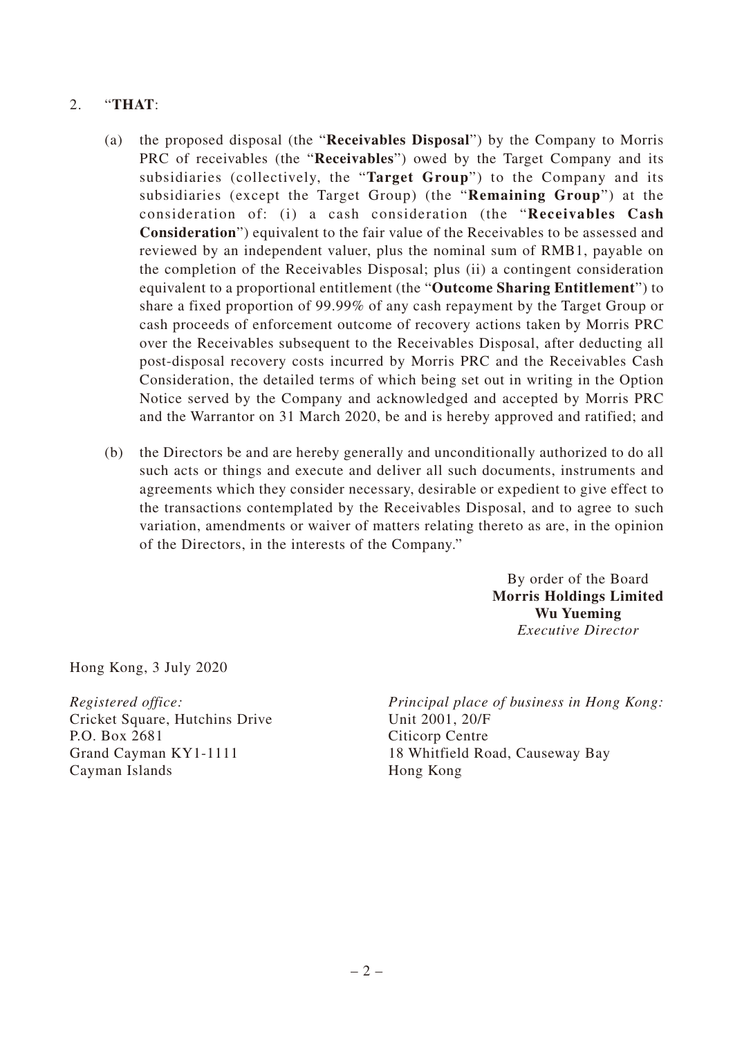## 2. "**THAT**:

- (a) the proposed disposal (the "**Receivables Disposal**") by the Company to Morris PRC of receivables (the "**Receivables**") owed by the Target Company and its subsidiaries (collectively, the "**Target Group**") to the Company and its subsidiaries (except the Target Group) (the "**Remaining Group**") at the consideration of: (i) a cash consideration (the "**Receivables Cash Consideration**") equivalent to the fair value of the Receivables to be assessed and reviewed by an independent valuer, plus the nominal sum of RMB1, payable on the completion of the Receivables Disposal; plus (ii) a contingent consideration equivalent to a proportional entitlement (the "**Outcome Sharing Entitlement**") to share a fixed proportion of 99.99% of any cash repayment by the Target Group or cash proceeds of enforcement outcome of recovery actions taken by Morris PRC over the Receivables subsequent to the Receivables Disposal, after deducting all post-disposal recovery costs incurred by Morris PRC and the Receivables Cash Consideration, the detailed terms of which being set out in writing in the Option Notice served by the Company and acknowledged and accepted by Morris PRC and the Warrantor on 31 March 2020, be and is hereby approved and ratified; and
- (b) the Directors be and are hereby generally and unconditionally authorized to do all such acts or things and execute and deliver all such documents, instruments and agreements which they consider necessary, desirable or expedient to give effect to the transactions contemplated by the Receivables Disposal, and to agree to such variation, amendments or waiver of matters relating thereto as are, in the opinion of the Directors, in the interests of the Company."

By order of the Board **Morris Holdings Limited Wu Yueming** *Executive Director*

Hong Kong, 3 July 2020

*Registered office:* Cricket Square, Hutchins Drive P.O. Box 2681 Grand Cayman KY1-1111 Cayman Islands

*Principal place of business in Hong Kong:* Unit 2001, 20/F Citicorp Centre 18 Whitfield Road, Causeway Bay Hong Kong